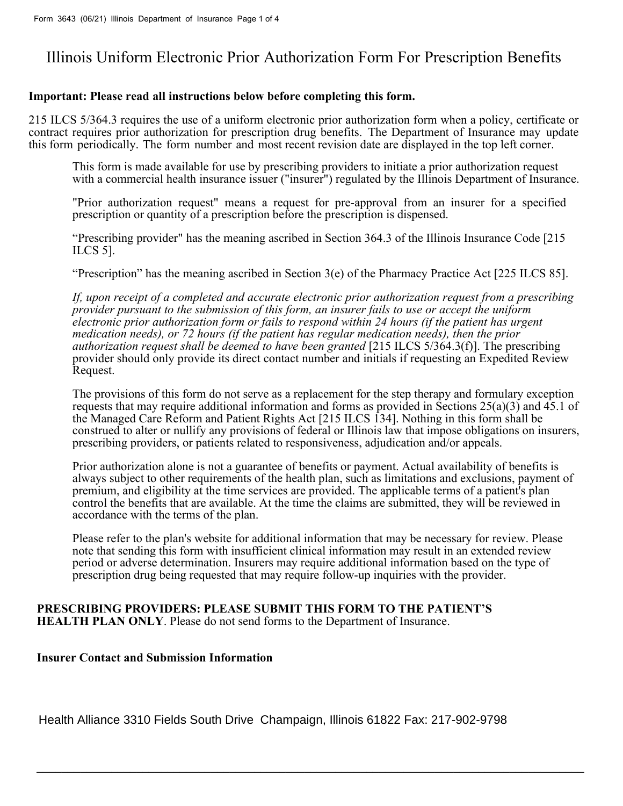# Illinois Uniform Electronic Prior Authorization Form For Prescription Benefits

### **Important: Please read all instructions below before completing this form.**

215 ILCS 5/364.3 requires the use of a uniform electronic prior authorization form when a policy, certificate or contract requires prior authorization for prescription drug benefits. The Department of Insurance may update this form periodically. The form number and most recent revision date are displayed in the top left corner.

This form is made available for use by prescribing providers to initiate a prior authorization request with a commercial health insurance issuer ("insurer") regulated by the Illinois Department of Insurance.

"Prior authorization request" means a request for pre-approval from an insurer for a specified prescription or quantity of a prescription before the prescription is dispensed.

"Prescribing provider" has the meaning ascribed in Section 364.3 of the Illinois Insurance Code [215 ILCS 5].

"Prescription" has the meaning ascribed in Section 3(e) of the Pharmacy Practice Act [225 ILCS 85].

*If, upon receipt of a completed and accurate electronic prior authorization request from a prescribing provider pursuant to the submission of this form, an insurer fails to use or accept the uniform electronic prior authorization form or fails to respond within 24 hours (if the patient has urgent medication needs), or 72 hours (if the patient has regular medication needs), then the prior authorization request shall be deemed to have been granted* [215 ILCS 5/364.3(f)]. The prescribing provider should only provide its direct contact number and initials if requesting an Expedited Review Request.

The provisions of this form do not serve as a replacement for the step therapy and formulary exception requests that may require additional information and forms as provided in Sections 25(a)(3) and 45.1 of the Managed Care Reform and Patient Rights Act [215 ILCS 134]. Nothing in this form shall be construed to alter or nullify any provisions of federal or Illinois law that impose obligations on insurers, prescribing providers, or patients related to responsiveness, adjudication and/or appeals.

Prior authorization alone is not a guarantee of benefits or payment. Actual availability of benefits is always subject to other requirements of the health plan, such as limitations and exclusions, payment of premium, and eligibility at the time services are provided. The applicable terms of a patient's plan control the benefits that are available. At the time the claims are submitted, they will be reviewed in accordance with the terms of the plan.

Please refer to the plan's website for additional information that may be necessary for review. Please note that sending this form with insufficient clinical information may result in an extended review period or adverse determination. Insurers may require additional information based on the type of prescription drug being requested that may require follow-up inquiries with the provider.

## **PRESCRIBING PROVIDERS: PLEASE SUBMIT THIS FORM TO THE PATIENT'S**

**HEALTH PLAN ONLY**. Please do not send forms to the Department of Insurance.

### **Insurer Contact and Submission Information**

Health Alliance 3310 Fields South Drive Champaign, Illinois 61822 Fax: 217-902-9798

 $\_$  , and the set of the set of the set of the set of the set of the set of the set of the set of the set of the set of the set of the set of the set of the set of the set of the set of the set of the set of the set of th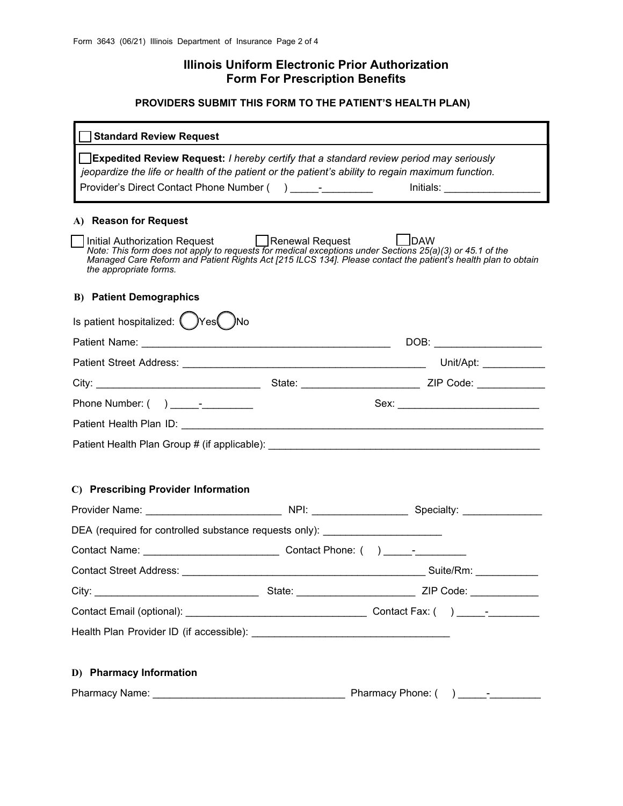# **Illinois Uniform Electronic Prior Authorization Form For Prescription Benefits**

# **PROVIDER**S SUBMIT THIS FORM TO THE PATIENT'S HEALTH PLAN)

| <b>Standard Review Request</b>                                                                                                                                                                                                                                                                                 |                                |
|----------------------------------------------------------------------------------------------------------------------------------------------------------------------------------------------------------------------------------------------------------------------------------------------------------------|--------------------------------|
| □Expedited Review Request: I hereby certify that a standard review period may seriously<br>jeopardize the life or health of the patient or the patient's ability to regain maximum function.                                                                                                                   |                                |
| A) Reason for Request                                                                                                                                                                                                                                                                                          |                                |
| J Initial Authorization Request □ Renewal Request □ DAW<br>Note: This form does not apply to requests for medical exceptions under Sections 25(a)(3) or 45.1 of the<br>Managed Care Reform and Patient Rights Act [215 ILCS 134]. Please contact the patient's health plan to obtain<br>the appropriate forms. |                                |
| <b>B)</b> Patient Demographics                                                                                                                                                                                                                                                                                 |                                |
| Is patient hospitalized: Ves No                                                                                                                                                                                                                                                                                |                                |
|                                                                                                                                                                                                                                                                                                                | DOB: _________________________ |
|                                                                                                                                                                                                                                                                                                                |                                |
|                                                                                                                                                                                                                                                                                                                |                                |
|                                                                                                                                                                                                                                                                                                                |                                |
|                                                                                                                                                                                                                                                                                                                |                                |
|                                                                                                                                                                                                                                                                                                                |                                |
|                                                                                                                                                                                                                                                                                                                |                                |
| C) Prescribing Provider Information                                                                                                                                                                                                                                                                            |                                |
| Provider Name: __________________________________ NPI: ________________________Specialty: _______________                                                                                                                                                                                                      |                                |
| DEA (required for controlled substance requests only): _________________________                                                                                                                                                                                                                               |                                |
|                                                                                                                                                                                                                                                                                                                |                                |
|                                                                                                                                                                                                                                                                                                                |                                |
|                                                                                                                                                                                                                                                                                                                |                                |
|                                                                                                                                                                                                                                                                                                                |                                |
|                                                                                                                                                                                                                                                                                                                |                                |
|                                                                                                                                                                                                                                                                                                                |                                |
| D) Pharmacy Information                                                                                                                                                                                                                                                                                        |                                |
|                                                                                                                                                                                                                                                                                                                |                                |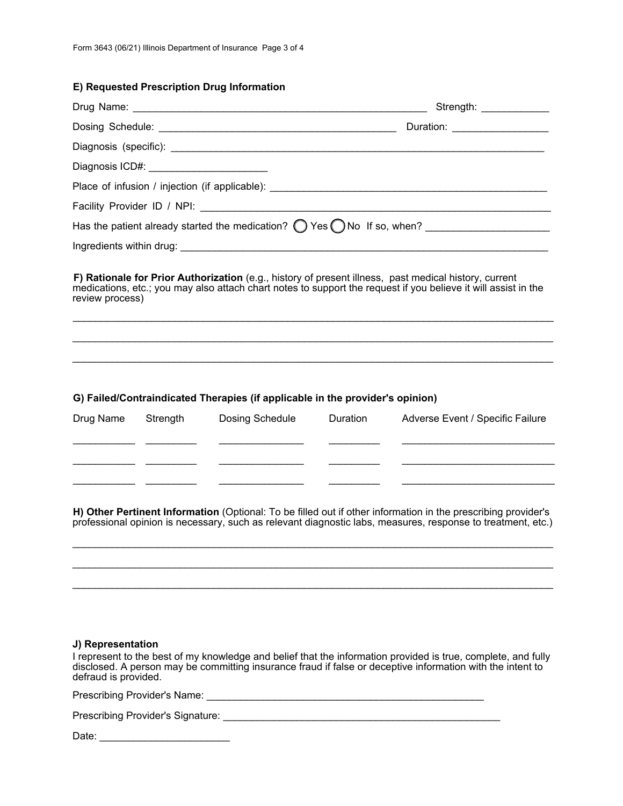#### **E) Requested Prescription Drug Information**

|                                                                                                                                                                                                                                            | Strength: _____________        |
|--------------------------------------------------------------------------------------------------------------------------------------------------------------------------------------------------------------------------------------------|--------------------------------|
|                                                                                                                                                                                                                                            | Duration: ____________________ |
|                                                                                                                                                                                                                                            |                                |
| Diagnosis ICD#: _______________________                                                                                                                                                                                                    |                                |
|                                                                                                                                                                                                                                            |                                |
|                                                                                                                                                                                                                                            |                                |
| Has the patient already started the medication? O Yes O No If so, when? ____________________________                                                                                                                                       |                                |
|                                                                                                                                                                                                                                            |                                |
| F) Rationale for Prior Authorization (e.g., history of present illness, past medical history, current<br>medications, etc.; you may also attach chart notes to support the request if you believe it will assist in the<br>review process) |                                |
|                                                                                                                                                                                                                                            |                                |
|                                                                                                                                                                                                                                            |                                |

### **G) Failed/Contraindicated Therapies (if applicable in the provider's opinion)**

| Drug Name | Strength | Dosing Schedule | Duration | Adverse Event / Specific Failure |
|-----------|----------|-----------------|----------|----------------------------------|
|           |          |                 |          |                                  |
|           |          |                 |          |                                  |
|           |          |                 |          |                                  |

**H) Other Pertinent Information** (Optional: To be filled out if other information in the prescribing provider's professional opinion is necessary, such as relevant diagnostic labs, measures, response to treatment, etc.)

\_\_\_\_\_\_\_\_\_\_\_\_\_\_\_\_\_\_\_\_\_\_\_\_\_\_\_\_\_\_\_\_\_\_\_\_\_\_\_\_\_\_\_\_\_\_\_\_\_\_\_\_\_\_\_\_\_\_\_\_\_\_\_\_\_\_\_\_\_\_\_\_\_\_\_\_\_\_\_\_\_\_\_\_\_

\_\_\_\_\_\_\_\_\_\_\_\_\_\_\_\_\_\_\_\_\_\_\_\_\_\_\_\_\_\_\_\_\_\_\_\_\_\_\_\_\_\_\_\_\_\_\_\_\_\_\_\_\_\_\_\_\_\_\_\_\_\_\_\_\_\_\_\_\_\_\_\_\_\_\_\_\_\_\_\_\_\_\_\_\_

\_\_\_\_\_\_\_\_\_\_\_\_\_\_\_\_\_\_\_\_\_\_\_\_\_\_\_\_\_\_\_\_\_\_\_\_\_\_\_\_\_\_\_\_\_\_\_\_\_\_\_\_\_\_\_\_\_\_\_\_\_\_\_\_\_\_\_\_\_\_\_\_\_\_\_\_\_\_\_\_\_\_\_\_\_

#### **J) Representation**

I represent to the best of my knowledge and belief that the information provided is true, complete, and fully disclosed. A person may be committing insurance fraud if false or deceptive information with the intent to defraud is provided.

Prescribing Provider's Name: \_\_\_\_\_\_\_\_\_\_\_\_\_\_\_\_\_\_\_\_\_\_\_\_\_\_\_\_\_\_\_\_\_\_\_\_\_\_\_\_\_\_\_\_\_\_\_\_\_

Prescribing Provider's Signature: \_\_\_\_\_\_\_\_\_\_\_\_\_\_\_\_\_\_\_\_\_\_\_\_\_\_\_\_\_\_\_\_\_\_\_\_\_\_\_\_\_\_\_\_\_\_\_\_\_

Date: \_\_\_\_\_\_\_\_\_\_\_\_\_\_\_\_\_\_\_\_\_\_\_